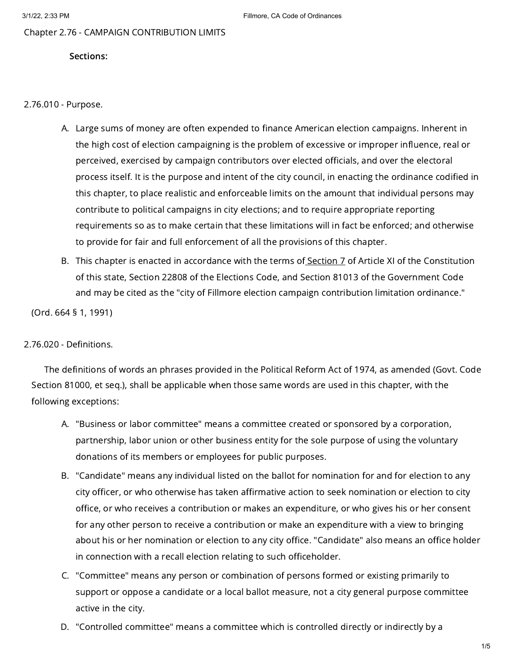Chapter 2.76 - CAMPAIGN CONTRIBUTION LIMITS

### Sections:

2.76.010 - Purpose.

- A. Large sums of money are often expended to finance American election campaigns. Inherent in the high cost of election campaigning is the problem of excessive or improper influence, real or perceived, exercised by campaign contributors over elected officials, and over the electoral process itself. It is the purpose and intent of the city council, in enacting the ordinance codified in this chapter, to place realistic and enforceable limits on the amount that individual persons may contribute to political campaigns in city elections; and to require appropriate reporting requirements so as to make certain that these limitations will in fact be enforced; and otherwise to provide for fair and full enforcement of all the provisions of this chapter.
- B. This chapter is enacted in accordance with the terms of<u> [Section](https://library.municode.com/) 7</u> of Article XI of the Constitution of this state, Section 22808 of the Elections Code, and Section 81013 of the Government Code and may be cited as the "city of Fillmore election campaign contribution limitation ordinance."

(Ord. 664 § 1, 1991)

## 2.76.020 - Definitions.

The definitions of words an phrases provided in the Political Reform Act of 1974, as amended (Govt. Code Section 81000, et seq.), shall be applicable when those same words are used in this chapter, with the following exceptions:

- A. "Business or labor committee" means a committee created or sponsored by a corporation, partnership, labor union or other business entity for the sole purpose of using the voluntary donations of its members or employees for public purposes.
- B. "Candidate" means any individual listed on the ballot for nomination for and for election to any city officer, or who otherwise has taken affirmative action to seek nomination or election to city office, or who receives a contribution or makes an expenditure, or who gives his or her consent for any other person to receive a contribution or make an expenditure with a view to bringing about his or her nomination or election to any city office. "Candidate" also means an office holder in connection with a recall election relating to such officeholder.
- C. "Committee" means any person or combination of persons formed or existing primarily to support or oppose a candidate or a local ballot measure, not a city general purpose committee active in the city.
- D. "Controlled committee" means a committee which is controlled directly or indirectly by a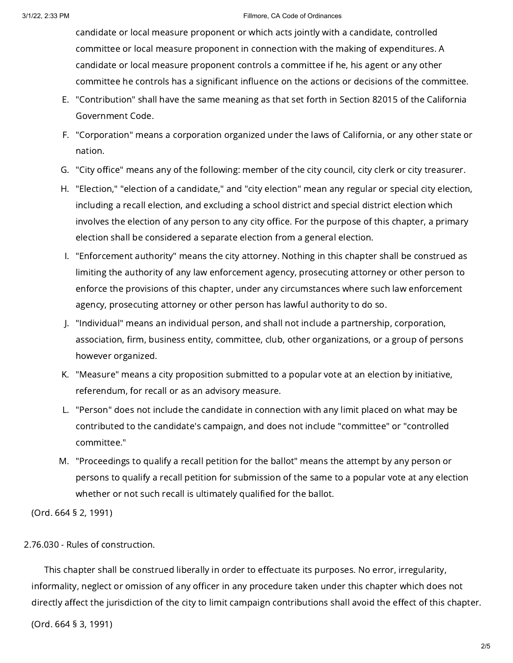#### 3/1/22, 2:33 PM Fillmore, CA Code of Ordinances

candidate or local measure proponent or which acts jointly with a candidate, controlled committee or local measure proponent in connection with the making of expenditures. A candidate or local measure proponent controls a committee if he, his agent or any other committee he controls has a significant influence on the actions or decisions of the committee.

- E. "Contribution" shall have the same meaning as that set forth in Section 82015 of the California Government Code.
- F. "Corporation" means a corporation organized under the laws of California, or any other state or nation.
- G. "City office" means any of the following: member of the city council, city clerk or city treasurer.
- H. "Election," "election of a candidate," and "city election" mean any regular or special city election, including a recall election, and excluding a school district and special district election which involves the election of any person to any city office. For the purpose of this chapter, a primary election shall be considered a separate election from a general election.
- I. "Enforcement authority" means the city attorney. Nothing in this chapter shall be construed as limiting the authority of any law enforcement agency, prosecuting attorney or other person to enforce the provisions of this chapter, under any circumstances where such law enforcement agency, prosecuting attorney or other person has lawful authority to do so.
- J. "Individual" means an individual person, and shall not include a partnership, corporation, association, firm, business entity, committee, club, other organizations, or a group of persons however organized.
- K. "Measure" means a city proposition submitted to a popular vote at an election by initiative, referendum, for recall or as an advisory measure.
- L. "Person" does not include the candidate in connection with any limit placed on what may be contributed to the candidate's campaign, and does not include "committee" or "controlled committee."
- M. "Proceedings to qualify a recall petition for the ballot" means the attempt by any person or persons to qualify a recall petition for submission of the same to a popular vote at any election whether or not such recall is ultimately qualified for the ballot.

(Ord. 664 § 2, 1991)

# 2.76.030 - Rules of construction.

This chapter shall be construed liberally in order to effectuate its purposes. No error, irregularity, informality, neglect or omission of any officer in any procedure taken under this chapter which does not directly affect the jurisdiction of the city to limit campaign contributions shall avoid the effect of this chapter.

(Ord. 664 § 3, 1991)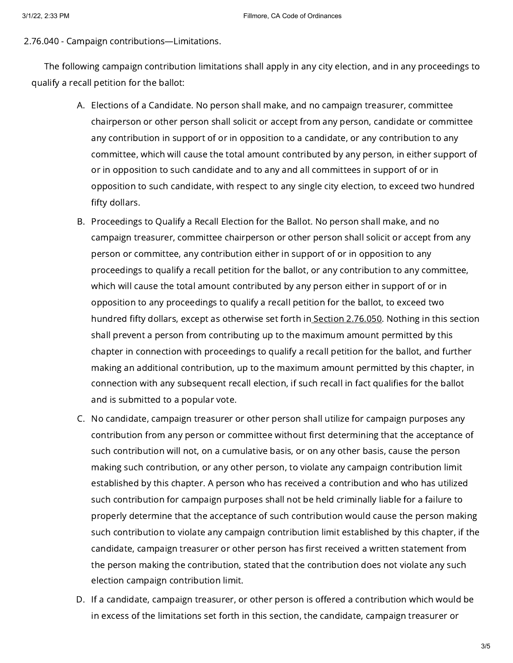2.76.040 - Campaign contributions—Limitations.

The following campaign contribution limitations shall apply in any city election, and in any proceedings to qualify a recall petition for the ballot:

- A. Elections of a Candidate. No person shall make, and no campaign treasurer, committee chairperson or other person shall solicit or accept from any person, candidate or committee any contribution in support of or in opposition to a candidate, or any contribution to any committee, which will cause the total amount contributed by any person, in either support of or in opposition to such candidate and to any and all committees in support of or in opposition to such candidate, with respect to any single city election, to exceed two hundred fifty dollars.
- B. Proceedings to Qualify a Recall Election for the Ballot. No person shall make, and no campaign treasurer, committee chairperson or other person shall solicit or accept from any person or committee, any contribution either in support of or in opposition to any proceedings to qualify a recall petition for the ballot, or any contribution to any committee, which will cause the total amount contributed by any person either in support of or in opposition to any proceedings to qualify a recall petition for the ballot, to exceed two hundred fifty dollars, except as otherwise set forth in Section [2.76.050.](https://library.municode.com/) Nothing in this section shall prevent a person from contributing up to the maximum amount permitted by this chapter in connection with proceedings to qualify a recall petition for the ballot, and further making an additional contribution, up to the maximum amount permitted by this chapter, in connection with any subsequent recall election, if such recall in fact qualifies for the ballot and is submitted to a popular vote.
- C. No candidate, campaign treasurer or other person shall utilize for campaign purposes any contribution from any person or committee without first determining that the acceptance of such contribution will not, on a cumulative basis, or on any other basis, cause the person making such contribution, or any other person, to violate any campaign contribution limit established by this chapter. A person who has received a contribution and who has utilized such contribution for campaign purposes shall not be held criminally liable for a failure to properly determine that the acceptance of such contribution would cause the person making such contribution to violate any campaign contribution limit established by this chapter, if the candidate, campaign treasurer or other person has first received a written statement from the person making the contribution, stated that the contribution does not violate any such election campaign contribution limit.
- D. If a candidate, campaign treasurer, or other person is offered a contribution which would be in excess of the limitations set forth in this section, the candidate, campaign treasurer or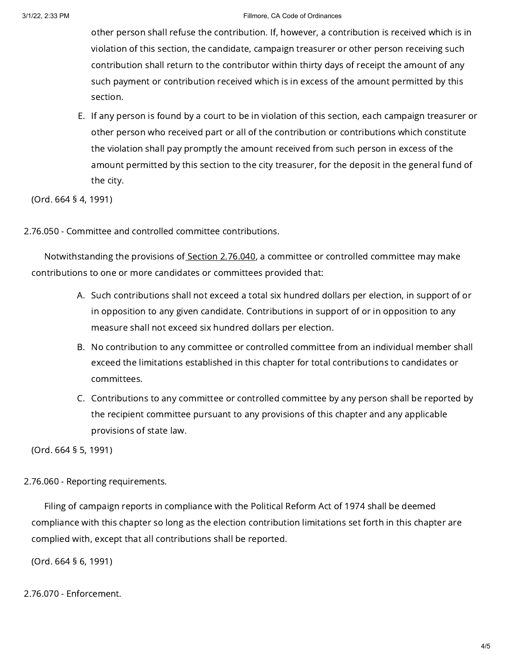#### 3/1/22, 2:33 PM Fillmore, CA Code of Ordinances

other person shall refuse the contribution. If, however, a contribution is received which is in violation of this section, the candidate, campaign treasurer or other person receiving such contribution shall return to the contributor within thirty days of receipt the amount of any such payment or contribution received which is in excess of the amount permitted by this section.

E. If any person is found by a court to be in violation of this section, each campaign treasurer or other person who received part or all of the contribution or contributions which constitute the violation shall pay promptly the amount received from such person in excess of the amount permitted by this section to the city treasurer, for the deposit in the general fund of the city.

(Ord. 664 § 4, 1991)

2.76.050 - Committee and controlled committee contributions.

Notwithstanding the provisions of Section [2.76.040](https://library.municode.com/), a committee or controlled committee may make contributions to one or more candidates or committees provided that:

- A. Such contributions shall not exceed a total six hundred dollars per election, in support of or in opposition to any given candidate. Contributions in support of or in opposition to any measure shall not exceed six hundred dollars per election.
- B. No contribution to any committee or controlled committee from an individual member shall exceed the limitations established in this chapter for total contributions to candidates or committees.
- C. Contributions to any committee or controlled committee by any person shall be reported by the recipient committee pursuant to any provisions of this chapter and any applicable provisions of state law.

(Ord. 664 § 5, 1991)

2.76.060 - Reporting requirements.

Filing of campaign reports in compliance with the Political Reform Act of 1974 shall be deemed compliance with this chapter so long as the election contribution limitations set forth in this chapter are complied with, except that all contributions shall be reported.

(Ord. 664 § 6, 1991)

2.76.070 - Enforcement.